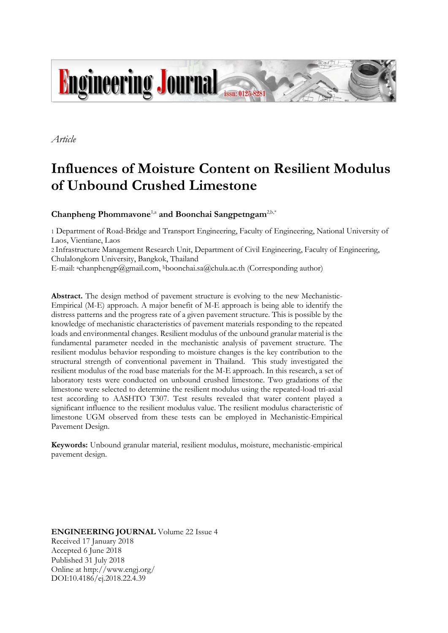

*Article*

# **Influences of Moisture Content on Resilient Modulus of Unbound Crushed Limestone**

**Chanpheng Phommavone**1,a **and Boonchai Sangpetngam**2,b,\*

1 Department of Road-Bridge and Transport Engineering, Faculty of Engineering, National University of Laos, Vientiane, Laos

2 Infrastructure Management Research Unit, Department of Civil Engineering, Faculty of Engineering, Chulalongkorn University, Bangkok, Thailand

E-mail: <sup>a</sup>chanphengp@gmail.com, <sup>b</sup>boonchai.sa@chula.ac.th (Corresponding author)

**Abstract.** The design method of pavement structure is evolving to the new Mechanistic-Empirical (M-E) approach. A major benefit of M-E approach is being able to identify the distress patterns and the progress rate of a given pavement structure. This is possible by the knowledge of mechanistic characteristics of pavement materials responding to the repeated loads and environmental changes. Resilient modulus of the unbound granular material is the fundamental parameter needed in the mechanistic analysis of pavement structure. The resilient modulus behavior responding to moisture changes is the key contribution to the structural strength of conventional pavement in Thailand. This study investigated the resilient modulus of the road base materials for the M-E approach. In this research, a set of laboratory tests were conducted on unbound crushed limestone. Two gradations of the limestone were selected to determine the resilient modulus using the repeated-load tri-axial test according to AASHTO T307. Test results revealed that water content played a significant influence to the resilient modulus value. The resilient modulus characteristic of limestone UGM observed from these tests can be employed in Mechanistic-Empirical Pavement Design.

**Keywords:** Unbound granular material, resilient modulus, moisture, mechanistic-empirical pavement design.

**ENGINEERING JOURNAL** Volume 22 Issue 4 Received 17 January 2018 Accepted 6 June 2018 Published 31 July 2018 Online at http://www.engj.org/ DOI:10.4186/ej.2018.22.4.39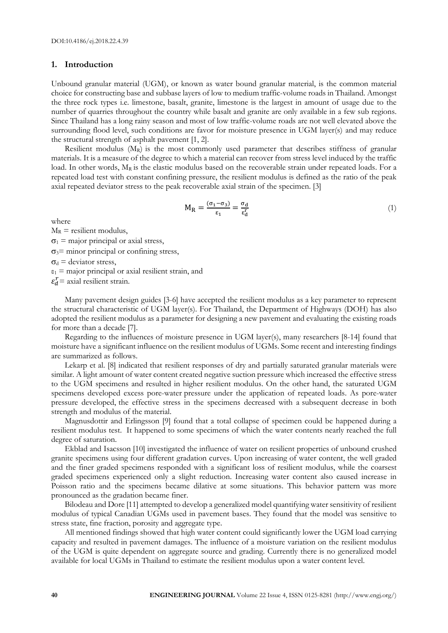## **1. Introduction**

Unbound granular material (UGM), or known as water bound granular material, is the common material choice for constructing base and subbase layers of low to medium traffic-volume roads in Thailand. Amongst the three rock types i.e. limestone, basalt, granite, limestone is the largest in amount of usage due to the number of quarries throughout the country while basalt and granite are only available in a few sub regions. Since Thailand has a long rainy season and most of low traffic-volume roads are not well elevated above the surrounding flood level, such conditions are favor for moisture presence in UGM layer(s) and may reduce the structural strength of asphalt pavement [1, 2].

Resilient modulus  $(M_R)$  is the most commonly used parameter that describes stiffness of granular materials. It is a measure of the degree to which a material can recover from stress level induced by the traffic load. In other words,  $M_R$  is the elastic modulus based on the recoverable strain under repeated loads. For a repeated load test with constant confining pressure, the resilient modulus is defined as the ratio of the peak axial repeated deviator stress to the peak recoverable axial strain of the specimen. [3]

$$
M_R = \frac{(\sigma_1 - \sigma_3)}{\epsilon_1} = \frac{\sigma_d}{\epsilon_d^r}
$$
 (1)

where

 $M_R$  = resilient modulus,  $\sigma_1$  = major principal or axial stress,  $\sigma_3$ = minor principal or confining stress,  $\sigma_d$  = deviator stress,  $\varepsilon_1$  = major principal or axial resilient strain, and

 $\varepsilon_d^r$  = axial resilient strain.

Many pavement design guides [3-6] have accepted the resilient modulus as a key parameter to represent the structural characteristic of UGM layer(s). For Thailand, the Department of Highways (DOH) has also adopted the resilient modulus as a parameter for designing a new pavement and evaluating the existing roads for more than a decade [7].

Regarding to the influences of moisture presence in UGM layer(s), many researchers [8-14] found that moisture have a significant influence on the resilient modulus of UGMs. Some recent and interesting findings are summarized as follows.

Lekarp et al. [8] indicated that resilient responses of dry and partially saturated granular materials were similar. A light amount of water content created negative suction pressure which increased the effective stress to the UGM specimens and resulted in higher resilient modulus. On the other hand, the saturated UGM specimens developed excess pore-water pressure under the application of repeated loads. As pore-water pressure developed, the effective stress in the specimens decreased with a subsequent decrease in both strength and modulus of the material.

Magnusdottir and Erlingsson [9] found that a total collapse of specimen could be happened during a resilient modulus test. It happened to some specimens of which the water contents nearly reached the full degree of saturation.

Ekblad and Isacsson [10] investigated the influence of water on resilient properties of unbound crushed granite specimens using four different gradation curves. Upon increasing of water content, the well graded and the finer graded specimens responded with a significant loss of resilient modulus, while the coarsest graded specimens experienced only a slight reduction. Increasing water content also caused increase in Poisson ratio and the specimens became dilative at some situations. This behavior pattern was more pronounced as the gradation became finer.

Bilodeau and Dore [11] attempted to develop a generalized model quantifying water sensitivity of resilient modulus of typical Canadian UGMs used in pavement bases. They found that the model was sensitive to stress state, fine fraction, porosity and aggregate type.

All mentioned findings showed that high water content could significantly lower the UGM load carrying capacity and resulted in pavement damages. The influence of a moisture variation on the resilient modulus of the UGM is quite dependent on aggregate source and grading. Currently there is no generalized model available for local UGMs in Thailand to estimate the resilient modulus upon a water content level.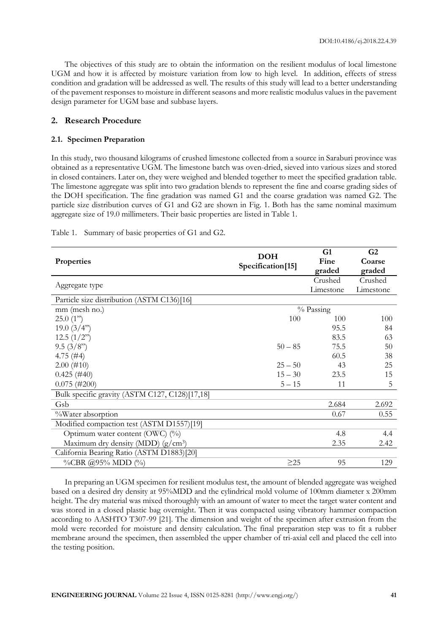The objectives of this study are to obtain the information on the resilient modulus of local limestone UGM and how it is affected by moisture variation from low to high level. In addition, effects of stress condition and gradation will be addressed as well. The results of this study will lead to a better understanding of the pavement responses to moisture in different seasons and more realistic modulus values in the pavement design parameter for UGM base and subbase layers.

# **2. Research Procedure**

## **2.1. Specimen Preparation**

In this study, two thousand kilograms of crushed limestone collected from a source in Saraburi province was obtained as a representative UGM. The limestone batch was oven-dried, sieved into various sizes and stored in closed containers. Later on, they were weighed and blended together to meet the specified gradation table. The limestone aggregate was split into two gradation blends to represent the fine and coarse grading sides of the DOH specification. The fine gradation was named G1 and the coarse gradation was named G2. The particle size distribution curves of G1 and G2 are shown in Fig. 1. Both has the same nominal maximum aggregate size of 19.0 millimeters. Their basic properties are listed in Table 1.

|                                                |                   | G1        | G2        |  |  |
|------------------------------------------------|-------------------|-----------|-----------|--|--|
| Properties                                     | <b>DOH</b>        | Fine      | Coarse    |  |  |
|                                                | Specification[15] | graded    | graded    |  |  |
|                                                |                   | Crushed   | Crushed   |  |  |
| Aggregate type                                 |                   | Limestone | Limestone |  |  |
| Particle size distribution (ASTM C136)[16]     |                   |           |           |  |  |
| mm (mesh no.)                                  | $%$ Passing       |           |           |  |  |
| 25.0(1")                                       | 100               | 100       | 100       |  |  |
| 19.0 $(3/4")$                                  |                   | 95.5      | 84        |  |  |
| 12.5(1/2")                                     |                   | 83.5      | 63        |  |  |
| 9.5(3/8")                                      | $50 - 85$         | 75.5      | 50        |  |  |
| 4.75 $(\#4)$                                   |                   | 60.5      | 38        |  |  |
| $2.00$ (#10)                                   | $25 - 50$         | 43        | 25        |  |  |
| $0.425$ (#40)                                  | $15 - 30$         | 23.5      | 15        |  |  |
| $0.075$ (#200)                                 | $5 - 15$          | 11        | 5         |  |  |
| Bulk specific gravity (ASTM C127, C128)[17,18] |                   |           |           |  |  |
| Gsb                                            |                   | 2.684     | 2.692     |  |  |
| %Water absorption                              |                   | 0.67      | 0.55      |  |  |
| Modified compaction test (ASTM D1557)[19]      |                   |           |           |  |  |
| Optimum water content (OWC) (%)                |                   | 4.8       | 4.4       |  |  |
| Maximum dry density (MDD) $(g/cm^3)$           |                   | 2.35      | 2.42      |  |  |
| California Bearing Ratio (ASTM D1883)[20]      |                   |           |           |  |  |
| %CBR @95% MDD (%)                              | $\geq$ 25         | 95        | 129       |  |  |

Table 1. Summary of basic properties of G1 and G2.

In preparing an UGM specimen for resilient modulus test, the amount of blended aggregate was weighed based on a desired dry density at 95%MDD and the cylindrical mold volume of 100mm diameter x 200mm height. The dry material was mixed thoroughly with an amount of water to meet the target water content and was stored in a closed plastic bag overnight. Then it was compacted using vibratory hammer compaction according to AASHTO T307-99 [21]. The dimension and weight of the specimen after extrusion from the mold were recorded for moisture and density calculation. The final preparation step was to fit a rubber membrane around the specimen, then assembled the upper chamber of tri-axial cell and placed the cell into the testing position.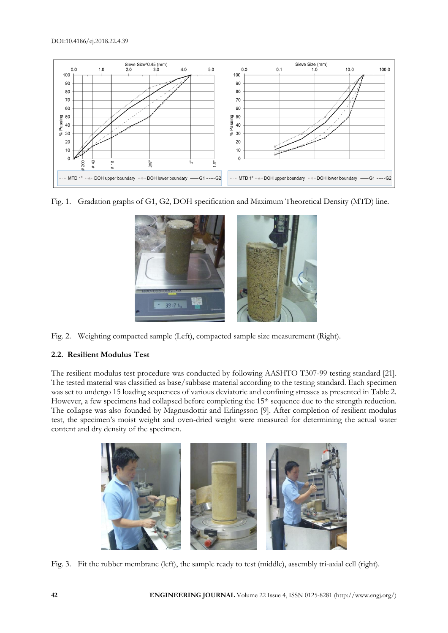

Fig. 1. Gradation graphs of G1, G2, DOH specification and Maximum Theoretical Density (MTD) line.



Fig. 2. Weighting compacted sample (Left), compacted sample size measurement (Right).

# **2.2. Resilient Modulus Test**

The resilient modulus test procedure was conducted by following AASHTO T307-99 testing standard [21]. The tested material was classified as base/subbase material according to the testing standard. Each specimen was set to undergo 15 loading sequences of various deviatoric and confining stresses as presented in Table 2. However, a few specimens had collapsed before completing the 15<sup>th</sup> sequence due to the strength reduction. The collapse was also founded by Magnusdottir and Erlingsson [9]. After completion of resilient modulus test, the specimen's moist weight and oven-dried weight were measured for determining the actual water content and dry density of the specimen.



Fig. 3. Fit the rubber membrane (left), the sample ready to test (middle), assembly tri-axial cell (right).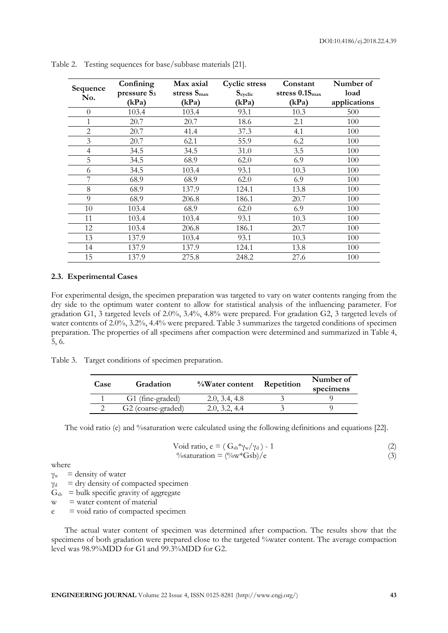| Sequence<br>No. | Confining<br>pressure S <sub>3</sub><br>(kPa) | Max axial<br>stress $S_{\text{max}}$<br>(kPa) | <b>Cyclic stress</b><br>$S_{\text{cyclic}}$<br>(kPa) | Constant<br>stress $0.1S_{\text{max}}$<br>(kPa) | Number of<br>load<br>applications |
|-----------------|-----------------------------------------------|-----------------------------------------------|------------------------------------------------------|-------------------------------------------------|-----------------------------------|
| $\Omega$        | 103.4                                         | 103.4                                         | 93.1                                                 | 10.3                                            | 500                               |
| 1               | 20.7                                          | 20.7                                          | 18.6                                                 | 2.1                                             | 100                               |
| 2               | 20.7                                          | 41.4                                          | 37.3                                                 | 4.1                                             | 100                               |
| 3               | 20.7                                          | 62.1                                          | 55.9                                                 | 6.2                                             | 100                               |
| $\overline{4}$  | 34.5                                          | 34.5                                          | 31.0                                                 | 3.5                                             | 100                               |
| 5               | 34.5                                          | 68.9                                          | 62.0                                                 | 6.9                                             | 100                               |
| 6               | 34.5                                          | 103.4                                         | 93.1                                                 | 10.3                                            | 100                               |
|                 | 68.9                                          | 68.9                                          | 62.0                                                 | 6.9                                             | 100                               |
| 8               | 68.9                                          | 137.9                                         | 124.1                                                | 13.8                                            | 100                               |
| $\overline{Q}$  | 68.9                                          | 206.8                                         | 186.1                                                | 20.7                                            | 100                               |
| 10              | 103.4                                         | 68.9                                          | 62.0                                                 | 6.9                                             | 100                               |
| 11              | 103.4                                         | 103.4                                         | 93.1                                                 | 10.3                                            | 100                               |
| 12              | 103.4                                         | 206.8                                         | 186.1                                                | 20.7                                            | 100                               |
| 13              | 137.9                                         | 103.4                                         | 93.1                                                 | 10.3                                            | 100                               |
| 14              | 137.9                                         | 137.9                                         | 124.1                                                | 13.8                                            | 100                               |
| 15              | 137.9                                         | 275.8                                         | 248.2                                                | 27.6                                            | 100                               |

Table 2. Testing sequences for base/subbase materials [21].

## **2.3. Experimental Cases**

For experimental design, the specimen preparation was targeted to vary on water contents ranging from the dry side to the optimum water content to allow for statistical analysis of the influencing parameter. For gradation G1, 3 targeted levels of 2.0%, 3.4%, 4.8% were prepared. For gradation G2, 3 targeted levels of water contents of 2.0%, 3.2%, 4.4% were prepared. Table 3 summarizes the targeted conditions of specimen preparation. The properties of all specimens after compaction were determined and summarized in Table 4, 5, 6.

Table 3. Target conditions of specimen preparation.

| Case | Gradation                      | %Water content | Repetition | Number of<br>specimens |
|------|--------------------------------|----------------|------------|------------------------|
|      | G1 (fine-graded)               | 2.0, 3.4, 4.8  |            |                        |
|      | G <sub>2</sub> (coarse-graded) | 2.0, 3.2, 4.4  |            |                        |

The void ratio (e) and %saturation were calculated using the following definitions and equations [22].

$$
\begin{array}{l}\n\text{Void ratio, e} = (\text{G}_{sb} * \gamma_w / \gamma_d) - 1 \\
\text{%saturation} = (\% w * \text{G} \cdot \text{S} \cdot \text{D}) / e\n\end{array} \tag{2}
$$

where

 $y_w$  = density of water

 $\gamma_d$  = dry density of compacted specimen

 $G<sub>sb</sub> = bulk specific gravity of aggregate$ 

 $w =$  water content of material

 $e =$  void ratio of compacted specimen

The actual water content of specimen was determined after compaction. The results show that the specimens of both gradation were prepared close to the targeted %water content. The average compaction level was  $98.9\% \overline{MDD}$  for G1 and  $99.3\% \overline{MDD}$  for G2.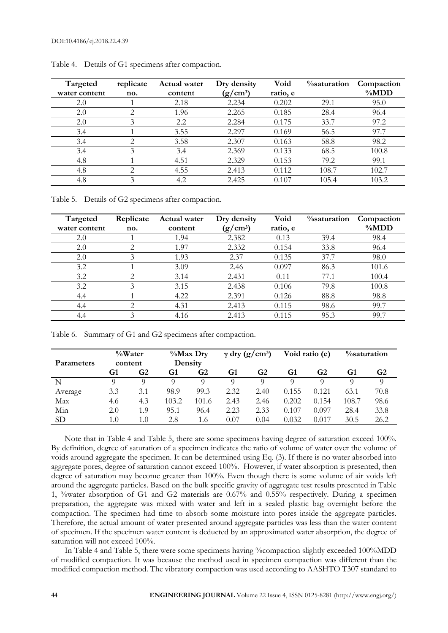| Targeted<br>water content | replicate<br>no. | Actual water<br>content | Dry density<br>$(g/cm^3)$ | Void<br>ratio, e | <i>%saturation</i> | Compaction<br>$\%MDD$ |
|---------------------------|------------------|-------------------------|---------------------------|------------------|--------------------|-----------------------|
| 2.0                       |                  | 2.18                    | 2.234                     | 0.202            | 29.1               | 95.0                  |
| 2.0                       | っ                | 1.96                    | 2.265                     | 0.185            | 28.4               | 96.4                  |
| 2.0                       | 3                | 2.2                     | 2.284                     | 0.175            | 33.7               | 97.2                  |
| 3.4                       |                  | 3.55                    | 2.297                     | 0.169            | 56.5               | 97.7                  |
| 3.4                       | ↑                | 3.58                    | 2.307                     | 0.163            | 58.8               | 98.2                  |
| 3.4                       | 3                | 3.4                     | 2.369                     | 0.133            | 68.5               | 100.8                 |
| 4.8                       |                  | 4.51                    | 2.329                     | 0.153            | 79.2               | 99.1                  |
| 4.8                       | っ                | 4.55                    | 2.413                     | 0.112            | 108.7              | 102.7                 |
| 4.8                       | 3                | 4.2                     | 2.425                     | 0.107            | 105.4              | 103.2                 |

|  |  | Table 4. Details of G1 specimens after compaction. |
|--|--|----------------------------------------------------|
|  |  |                                                    |

Table 5. Details of G2 specimens after compaction.

| Targeted      | Replicate | Actual water | Dry density | Void     | <i><b>%saturation</b></i> | Compaction |
|---------------|-----------|--------------|-------------|----------|---------------------------|------------|
| water content | no.       | content      | $(g/cm^3)$  | ratio, e |                           | $\%MDD$    |
| 2.0           |           | 1.94         | 2.382       | 0.13     | 39.4                      | 98.4       |
| 2.0           | ⌒         | 1.97         | 2.332       | 0.154    | 33.8                      | 96.4       |
| 2.0           |           | 1.93         | 2.37        | 0.135    | 37.7                      | 98.0       |
| 3.2           |           | 3.09         | 2.46        | 0.097    | 86.3                      | 101.6      |
| 3.2           | ⌒         | 3.14         | 2.431       | 0.11     | 77.1                      | 100.4      |
| 3.2           | 3         | 3.15         | 2.438       | 0.106    | 79.8                      | 100.8      |
| 4.4           |           | 4.22         | 2.391       | 0.126    | 88.8                      | 98.8       |
| 4.4           | ◠         | 4.31         | 2.413       | 0.115    | 98.6                      | 99.7       |
| 4.4           |           | 4.16         | 2.413       | 0.115    | 95.3                      | 99.7       |

Table 6. Summary of G1 and G2 specimens after compaction.

| <b>Parameters</b> | $\%$ Water<br>content |     | $\%$ Max Dry<br>Density |       | $\gamma$ dry (g/cm <sup>3</sup> ) |      | Void ratio (e) |       | <i><b>%saturation</b></i> |      |
|-------------------|-----------------------|-----|-------------------------|-------|-----------------------------------|------|----------------|-------|---------------------------|------|
|                   | G1                    | G2  | G1                      | G2    | G1                                | G2   | G1             | G2    | G1                        | G2   |
| N                 |                       |     | $\Omega$                |       | Q                                 | Q    |                | Q     |                           |      |
| Average           | 3.3                   | 3.1 | 98.9                    | 99.3  | 2.32                              | 2.40 | 0.155          | 0.121 | 63.1                      | 70.8 |
| Max               | 4.6                   | 4.3 | 103.2                   | 101.6 | 2.43                              | 2.46 | 0.202          | 0.154 | 108.7                     | 98.6 |
| Min               | 2.0                   | 1.9 | 95.1                    | 96.4  | 2.23                              | 2.33 | 0.107          | 0.097 | 28.4                      | 33.8 |
| <b>SD</b>         | 1.0                   | 1.0 | 2.8                     | 1.6   | 0.07                              | 0.04 | 0.032          | 0.017 | 30.5                      | 26.2 |

Note that in Table 4 and Table 5, there are some specimens having degree of saturation exceed 100%. By definition, degree of saturation of a specimen indicates the ratio of volume of water over the volume of voids around aggregate the specimen. It can be determined using Eq. (3). If there is no water absorbed into aggregate pores, degree of saturation cannot exceed 100%. However, if water absorption is presented, then degree of saturation may become greater than 100%. Even though there is some volume of air voids left around the aggregate particles. Based on the bulk specific gravity of aggregate test results presented in Table 1, %water absorption of G1 and G2 materials are 0.67% and 0.55% respectively. During a specimen preparation, the aggregate was mixed with water and left in a sealed plastic bag overnight before the compaction. The specimen had time to absorb some moisture into pores inside the aggregate particles. Therefore, the actual amount of water presented around aggregate particles was less than the water content of specimen. If the specimen water content is deducted by an approximated water absorption, the degree of saturation will not exceed 100%.

In Table 4 and Table 5, there were some specimens having %compaction slightly exceeded 100%MDD of modified compaction. It was because the method used in specimen compaction was different than the modified compaction method. The vibratory compaction was used according to AASHTO T307 standard to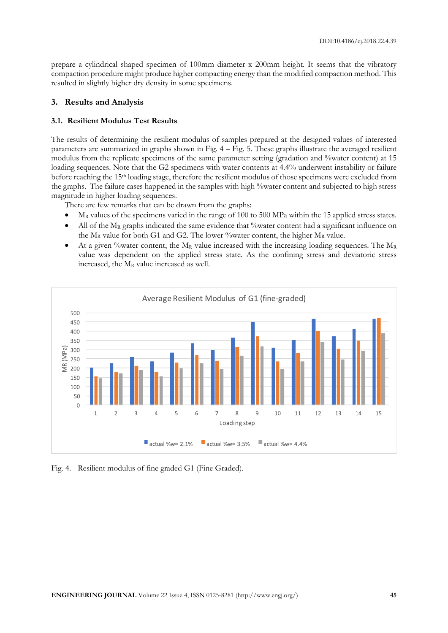prepare a cylindrical shaped specimen of 100mm diameter x 200mm height. It seems that the vibratory compaction procedure might produce higher compacting energy than the modified compaction method. This resulted in slightly higher dry density in some specimens.

## **3. Results and Analysis**

## **3.1. Resilient Modulus Test Results**

The results of determining the resilient modulus of samples prepared at the designed values of interested parameters are summarized in graphs shown in Fig. 4 – Fig. 5. These graphs illustrate the averaged resilient modulus from the replicate specimens of the same parameter setting (gradation and "water content) at 15 loading sequences. Note that the G2 specimens with water contents at 4.4% underwent instability or failure before reaching the 15th loading stage, therefore the resilient modulus of those specimens were excluded from the graphs. The failure cases happened in the samples with high %water content and subjected to high stress magnitude in higher loading sequences.

There are few remarks that can be drawn from the graphs:

- M<sup>R</sup> values of the specimens varied in the range of 100 to 500 MPa within the 15 applied stress states.
- All of the  $M_R$  graphs indicated the same evidence that %water content had a significant influence on the  $M_R$  value for both G1 and G2. The lower % water content, the higher  $M_R$  value.
- At a given % water content, the  $M_R$  value increased with the increasing loading sequences. The  $M_R$ value was dependent on the applied stress state. As the confining stress and deviatoric stress increased, the M<sup>R</sup> value increased as well.



Fig. 4. Resilient modulus of fine graded G1 (Fine Graded).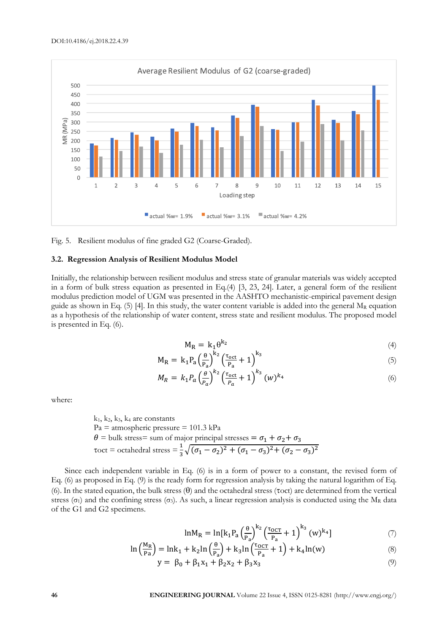

Fig. 5. Resilient modulus of fine graded G2 (Coarse-Graded).

#### **3.2. Regression Analysis of Resilient Modulus Model**

Initially, the relationship between resilient modulus and stress state of granular materials was widely accepted in a form of bulk stress equation as presented in Eq.(4) [3, 23, 24]. Later, a general form of the resilient modulus prediction model of UGM was presented in the AASHTO mechanistic-empirical pavement design guide as shown in Eq. (5) [4]. In this study, the water content variable is added into the general  $M_R$  equation as a hypothesis of the relationship of water content, stress state and resilient modulus. The proposed model is presented in Eq. (6).

$$
M_R = k_1 \theta^{k_2} \tag{4}
$$

$$
M_R = k_1 P_a \left(\frac{\theta}{P_a}\right)^{k_2} \left(\frac{\tau_{oct}}{P_a} + 1\right)^{k_3} \tag{5}
$$

$$
M_R = k_1 P_a \left(\frac{\theta}{P_a}\right)^{k_2} \left(\frac{\tau_{\text{oct}}}{P_a} + 1\right)^{k_3} (w)^{k_4} \tag{6}
$$

where:

$$
k_1
$$
,  $k_2$ ,  $k_3$ ,  $k_4$  are constants  
\n $Pa = \text{atmospheric pressure} = 101.3 \text{ kPa}$   
\n $\theta = \text{bulk stress} = \text{sum of major principal stresses} = \sigma_1 + \sigma_2 + \sigma_3$   
\n $\tau \text{oct} = \text{octahedral stress} = \frac{1}{3} \sqrt{(\sigma_1 - \sigma_2)^2 + (\sigma_1 - \sigma_3)^2 + (\sigma_2 - \sigma_3)^2}$ 

Since each independent variable in Eq. (6) is in a form of power to a constant, the revised form of Eq. (6) as proposed in Eq. (9) is the ready form for regression analysis by taking the natural logarithm of Eq. (6). In the stated equation, the bulk stress  $(\theta)$  and the octahedral stress ( $\tau$ oct) are determined from the vertical stress ( $\sigma_1$ ) and the confining stress ( $\sigma_3$ ). As such, a linear regression analysis is conducted using the M<sub>R</sub> data of the G1 and G2 specimens.

$$
ln M_R = ln[k_1 P_a \left(\frac{\theta}{P_a}\right)^{k_2} \left(\frac{\tau_{0CT}}{P_a} + 1\right)^{k_3} (w)^{k_4}]
$$
 (7)

$$
\ln\left(\frac{M_R}{P_a}\right) = \ln k_1 + k_2 \ln\left(\frac{\theta}{P_a}\right) + k_3 \ln\left(\frac{\tau_{OCT}}{P_a} + 1\right) + k_4 \ln(w) \tag{8}
$$

$$
y = \beta_0 + \beta_1 x_1 + \beta_2 x_2 + \beta_3 x_3 \tag{9}
$$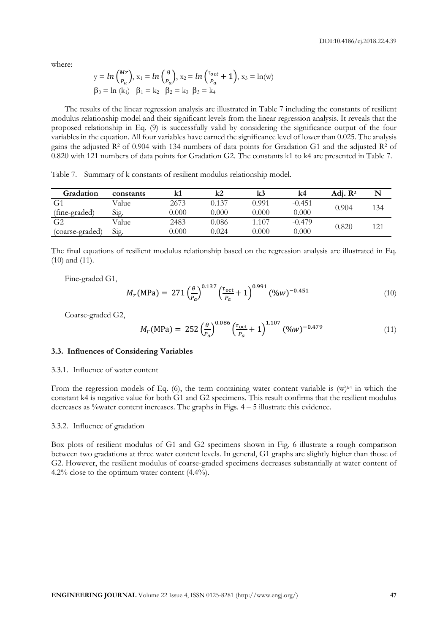where:

$$
y = \ln\left(\frac{Mr}{P_a}\right), x_1 = \ln\left(\frac{\theta}{P_a}\right), x_2 = \ln\left(\frac{\tau_{oct}}{P_a} + 1\right), x_3 = \ln(w)
$$
  

$$
\beta_0 = \ln(k_1) \quad \beta_1 = k_2 \quad \beta_2 = k_3 \quad \beta_3 = k_4
$$

The results of the linear regression analysis are illustrated in Table 7 including the constants of resilient modulus relationship model and their significant levels from the linear regression analysis. It reveals that the proposed relationship in Eq. (9) is successfully valid by considering the significance output of the four variables in the equation. All four variables have earned the significance level of lower than 0.025. The analysis gains the adjusted  $R^2$  of 0.904 with 134 numbers of data points for Gradation G1 and the adjusted  $R^2$  of 0.820 with 121 numbers of data points for Gradation G2. The constants k1 to k4 are presented in Table 7.

**Gradation constants k1 k2 k3 k4 Adj. R<sup>2</sup> N**  $G<sub>1</sub>$ (fine-graded) Value 2673 0.137 0.991 -0.451 0.904 134<br>Sig. 0.000 0.000 0.000 0.000 0.000  $G<sub>2</sub>$ (coarse-graded) Value 2483 0.086 1.107 -0.479 0.820 121<br>Sig. 0.000 0.024 0.000 0.000 0.820 121

Table 7. Summary of k constants of resilient modulus relationship model.

The final equations of resilient modulus relationship based on the regression analysis are illustrated in Eq. (10) and (11).

Fine-graded G1,

$$
M_r(\text{MPa}) = 271 \left(\frac{\theta}{P_a}\right)^{0.137} \left(\frac{\tau_{\text{oct}}}{P_a} + 1\right)^{0.991} (\%w)^{-0.451} \tag{10}
$$

Coarse-graded G2,

$$
M_r(MPa) = 252 \left(\frac{\theta}{P_a}\right)^{0.086} \left(\frac{\tau_{\text{oct}}}{P_a} + 1\right)^{1.107} (\%w)^{-0.479} \tag{11}
$$

#### **3.3. Influences of Considering Variables**

## 3.3.1. Influence of water content

From the regression models of Eq. (6), the term containing water content variable is  $(w)^{k4}$  in which the constant k4 is negative value for both G1 and G2 specimens. This result confirms that the resilient modulus decreases as  $\%$  water content increases. The graphs in Figs.  $4 - 5$  illustrate this evidence.

#### 3.3.2. Influence of gradation

Box plots of resilient modulus of G1 and G2 specimens shown in Fig. 6 illustrate a rough comparison between two gradations at three water content levels. In general, G1 graphs are slightly higher than those of G2. However, the resilient modulus of coarse-graded specimens decreases substantially at water content of 4.2% close to the optimum water content (4.4%).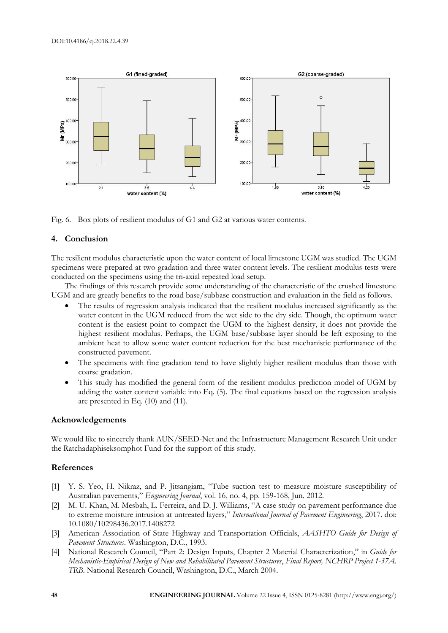

Fig. 6. Box plots of resilient modulus of G1 and G2 at various water contents.

# **4. Conclusion**

The resilient modulus characteristic upon the water content of local limestone UGM was studied. The UGM specimens were prepared at two gradation and three water content levels. The resilient modulus tests were conducted on the specimens using the tri-axial repeated load setup.

The findings of this research provide some understanding of the characteristic of the crushed limestone UGM and are greatly benefits to the road base/subbase construction and evaluation in the field as follows.

- The results of regression analysis indicated that the resilient modulus increased significantly as the water content in the UGM reduced from the wet side to the dry side. Though, the optimum water content is the easiest point to compact the UGM to the highest density, it does not provide the highest resilient modulus. Perhaps, the UGM base/subbase layer should be left exposing to the ambient heat to allow some water content reduction for the best mechanistic performance of the constructed pavement.
- The specimens with fine gradation tend to have slightly higher resilient modulus than those with coarse gradation.
- This study has modified the general form of the resilient modulus prediction model of UGM by adding the water content variable into Eq. (5). The final equations based on the regression analysis are presented in Eq. (10) and (11).

# **Acknowledgements**

We would like to sincerely thank AUN/SEED-Net and the Infrastructure Management Research Unit under the Ratchadaphiseksomphot Fund for the support of this study.

# **References**

- [1] Y. S. Yeo, H. Nikraz, and P. Jitsangiam, "Tube suction test to measure moisture susceptibility of Australian pavements," *Engineering Journal*, vol. 16, no. 4, pp. 159-168, Jun. 2012.
- [2] M. U. Khan, M. Mesbah, L. Ferreira, and D. J. Williams, "A case study on pavement performance due to extreme moisture intrusion at untreated layers," *International Journal of Pavement Engineering*, 2017. doi: 10.1080/10298436.2017.1408272
- [3] American Association of State Highway and Transportation Officials, *AASHTO Guide for Design of Pavement Structures*. Washington, D.C., 1993.
- [4] National Research Council, "Part 2: Design Inputs, Chapter 2 Material Characterization," in *Guide for Mechanistic-Empirical Design of New and Rehabilitated Pavement Structures*, *Final Report, NCHRP Project 1-37A. TRB*. National Research Council, Washington, D.C., March 2004.